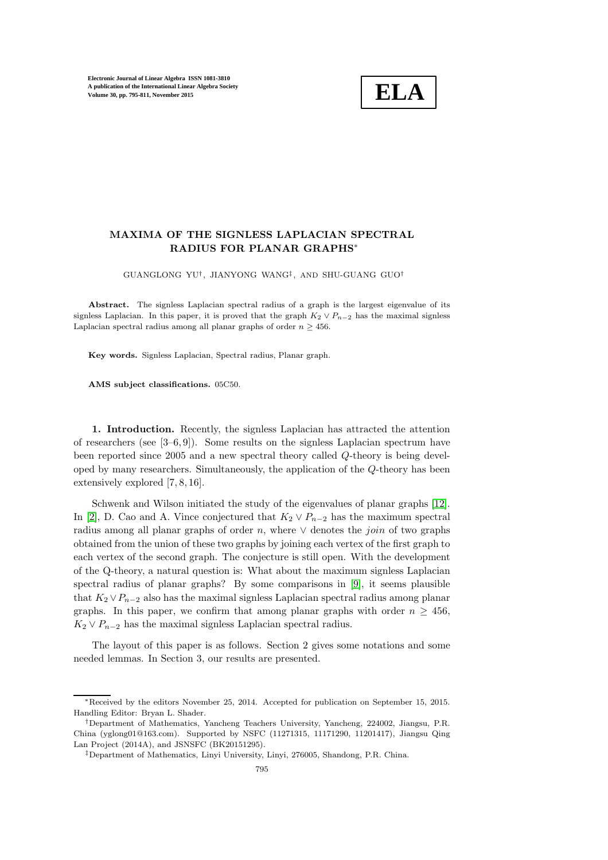

## MAXIMA OF THE SIGNLESS LAPLACIAN SPECTRAL RADIUS FOR PLANAR GRAPHS<sup>∗</sup>

GUANGLONG YU† , JIANYONG WANG‡ , AND SHU-GUANG GUO†

Abstract. The signless Laplacian spectral radius of a graph is the largest eigenvalue of its signless Laplacian. In this paper, it is proved that the graph  $K_2 \vee P_{n-2}$  has the maximal signless Laplacian spectral radius among all planar graphs of order  $n \geq 456$ .

Key words. Signless Laplacian, Spectral radius, Planar graph.

AMS subject classifications. 05C50.

1. Introduction. Recently, the signless Laplacian has attracted the attention of researchers (see  $[3-6, 9]$ ). Some results on the signless Laplacian spectrum have been reported since 2005 and a new spectral theory called Q-theory is being developed by many researchers. Simultaneously, the application of the Q-theory has been extensively explored [7, 8, 16].

Schwenk and Wilson initiated the study of the eigenvalues of planar graphs [\[12\]](#page-16-0). In [\[2\]](#page-15-0), D. Cao and A. Vince conjectured that  $K_2 \vee P_{n-2}$  has the maximum spectral radius among all planar graphs of order n, where  $\vee$  denotes the *join* of two graphs obtained from the union of these two graphs by joining each vertex of the first graph to each vertex of the second graph. The conjecture is still open. With the development of the Q-theory, a natural question is: What about the maximum signless Laplacian spectral radius of planar graphs? By some comparisons in [\[9\]](#page-16-1), it seems plausible that  $K_2 \vee P_{n-2}$  also has the maximal signless Laplacian spectral radius among planar graphs. In this paper, we confirm that among planar graphs with order  $n \geq 456$ ,  $K_2 \vee P_{n-2}$  has the maximal signless Laplacian spectral radius.

The layout of this paper is as follows. Section 2 gives some notations and some needed lemmas. In Section 3, our results are presented.

<sup>∗</sup>Received by the editors November 25, 2014. Accepted for publication on September 15, 2015. Handling Editor: Bryan L. Shader.

<sup>†</sup>Department of Mathematics, Yancheng Teachers University, Yancheng, 224002, Jiangsu, P.R. China (yglong01@163.com). Supported by NSFC (11271315, 11171290, 11201417), Jiangsu Qing Lan Project (2014A), and JSNSFC (BK20151295).

<sup>‡</sup>Department of Mathematics, Linyi University, Linyi, 276005, Shandong, P.R. China.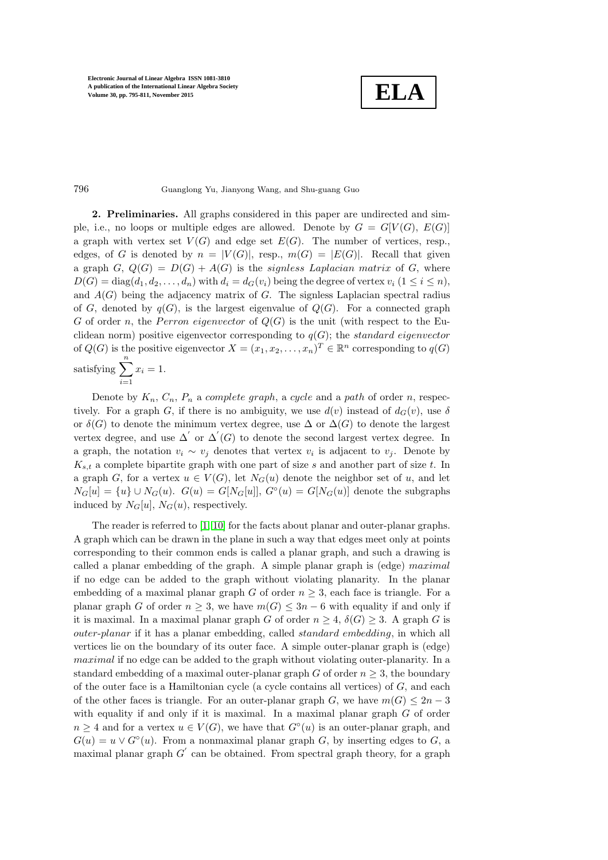**ELA**

## 796 Guanglong Yu, Jianyong Wang, and Shu-guang Guo

2. Preliminaries. All graphs considered in this paper are undirected and simple, i.e., no loops or multiple edges are allowed. Denote by  $G = G[V(G), E(G)]$ a graph with vertex set  $V(G)$  and edge set  $E(G)$ . The number of vertices, resp., edges, of G is denoted by  $n = |V(G)|$ , resp.,  $m(G) = |E(G)|$ . Recall that given a graph G,  $Q(G) = D(G) + A(G)$  is the *signless Laplacian matrix* of G, where  $D(G) = \text{diag}(d_1, d_2, \ldots, d_n)$  with  $d_i = d_G(v_i)$  being the degree of vertex  $v_i$   $(1 \leq i \leq n)$ , and  $A(G)$  being the adjacency matrix of G. The signless Laplacian spectral radius of G, denoted by  $q(G)$ , is the largest eigenvalue of  $Q(G)$ . For a connected graph G of order n, the Perron eigenvector of  $Q(G)$  is the unit (with respect to the Euclidean norm) positive eigenvector corresponding to  $q(G)$ ; the standard eigenvector of  $Q(G)$  is the positive eigenvector  $X = (x_1, x_2, \dots, x_n)^T \in \mathbb{R}^n$  corresponding to  $q(G)$ satisfying  $\sum_{n=1}^n$  $i=1$  $x_i = 1$ .

Denote by  $K_n$ ,  $C_n$ ,  $P_n$  a *complete graph*, a *cycle* and a path of order n, respectively. For a graph G, if there is no ambiguity, we use  $d(v)$  instead of  $d_G(v)$ , use  $\delta$ or  $\delta(G)$  to denote the minimum vertex degree, use  $\Delta$  or  $\Delta(G)$  to denote the largest vertex degree, and use  $\Delta'$  or  $\Delta'(G)$  to denote the second largest vertex degree. In a graph, the notation  $v_i \sim v_j$  denotes that vertex  $v_i$  is adjacent to  $v_j$ . Denote by  $K_{s,t}$  a complete bipartite graph with one part of size s and another part of size t. In a graph G, for a vertex  $u \in V(G)$ , let  $N_G(u)$  denote the neighbor set of u, and let  $N_G[u] = \{u\} \cup N_G(u)$ .  $G(u) = G[N_G[u]]$ ,  $G^{\circ}(u) = G[N_G(u)]$  denote the subgraphs induced by  $N_G[u]$ ,  $N_G(u)$ , respectively.

The reader is referred to [\[1,](#page-15-1) [10\]](#page-16-2) for the facts about planar and outer-planar graphs. A graph which can be drawn in the plane in such a way that edges meet only at points corresponding to their common ends is called a planar graph, and such a drawing is called a planar embedding of the graph. A simple planar graph is (edge)  $maximal$ if no edge can be added to the graph without violating planarity. In the planar embedding of a maximal planar graph G of order  $n \geq 3$ , each face is triangle. For a planar graph G of order  $n \geq 3$ , we have  $m(G) \leq 3n - 6$  with equality if and only if it is maximal. In a maximal planar graph G of order  $n \geq 4$ ,  $\delta(G) \geq 3$ . A graph G is outer-planar if it has a planar embedding, called standard embedding, in which all vertices lie on the boundary of its outer face. A simple outer-planar graph is (edge) maximal if no edge can be added to the graph without violating outer-planarity. In a standard embedding of a maximal outer-planar graph G of order  $n \geq 3$ , the boundary of the outer face is a Hamiltonian cycle (a cycle contains all vertices) of  $G$ , and each of the other faces is triangle. For an outer-planar graph G, we have  $m(G) \leq 2n-3$ with equality if and only if it is maximal. In a maximal planar graph  $G$  of order  $n \geq 4$  and for a vertex  $u \in V(G)$ , we have that  $G<sup>\circ</sup>(u)$  is an outer-planar graph, and  $G(u) = u \vee G^{\circ}(u)$ . From a nonmaximal planar graph G, by inserting edges to G, a maximal planar graph  $G'$  can be obtained. From spectral graph theory, for a graph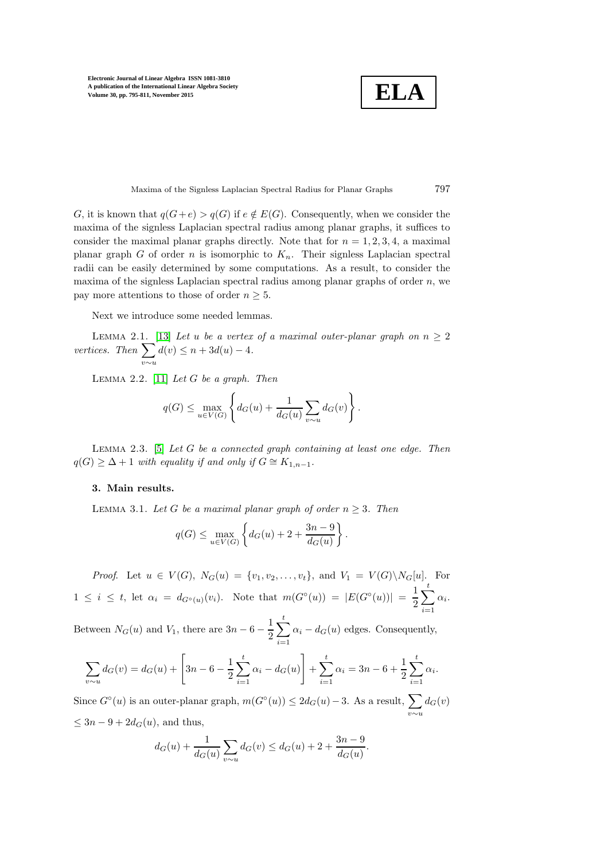**ELA**

Maxima of the Signless Laplacian Spectral Radius for Planar Graphs 797

G, it is known that  $q(G+e) > q(G)$  if  $e \notin E(G)$ . Consequently, when we consider the maxima of the signless Laplacian spectral radius among planar graphs, it suffices to consider the maximal planar graphs directly. Note that for  $n = 1, 2, 3, 4$ , a maximal planar graph G of order n is isomorphic to  $K_n$ . Their signless Laplacian spectral radii can be easily determined by some computations. As a result, to consider the maxima of the signless Laplacian spectral radius among planar graphs of order  $n$ , we pay more attentions to those of order  $n \geq 5$ .

Next we introduce some needed lemmas.

<span id="page-2-0"></span>LEMMA 2.1. [\[13\]](#page-16-3) Let u be a vertex of a maximal outer-planar graph on  $n \geq 2$ vertices. Then  $\sum$  $d(v) \leq n + 3d(u) - 4.$ 

LEMMA 2.2. [\[11\]](#page-16-4) Let  $G$  be a graph. Then

v∼u

$$
q(G) \le \max_{u \in V(G)} \left\{ d_G(u) + \frac{1}{d_G(u)} \sum_{v \sim u} d_G(v) \right\}.
$$

<span id="page-2-1"></span>LEMMA 2.3. [\[5\]](#page-15-2) Let G be a connected graph containing at least one edge. Then  $q(G) \geq \Delta + 1$  with equality if and only if  $G \cong K_{1,n-1}$ .

## <span id="page-2-2"></span>3. Main results.

LEMMA 3.1. Let G be a maximal planar graph of order  $n \geq 3$ . Then

$$
q(G) \le \max_{u \in V(G)} \left\{ d_G(u) + 2 + \frac{3n - 9}{d_G(u)} \right\}.
$$

*Proof.* Let  $u \in V(G)$ ,  $N_G(u) = \{v_1, v_2, \ldots, v_t\}$ , and  $V_1 = V(G) \setminus N_G[u]$ . For  $1 \leq i \leq t$ , let  $\alpha_i = d_{G^{\circ}(u)}(v_i)$ . Note that  $m(G^{\circ}(u)) = |E(G^{\circ}(u))| = \frac{1}{2}$ 2  $\sum_{i=1}^{t}$  $i=1$  $\alpha_i$ .

Between  $N_G(u)$  and  $V_1$ , there are  $3n-6-\frac{1}{2}$ 2  $\sum_{i=1}^{t}$  $i=1$  $\alpha_i - d_G(u)$  edges. Consequently,

$$
\sum_{v \sim u} d_G(v) = d_G(u) + \left[3n - 6 - \frac{1}{2} \sum_{i=1}^t \alpha_i - d_G(u)\right] + \sum_{i=1}^t \alpha_i = 3n - 6 + \frac{1}{2} \sum_{i=1}^t \alpha_i.
$$

Since  $G^{\circ}(u)$  is an outer-planar graph,  $m(G^{\circ}(u)) \leq 2d_G(u) - 3$ . As a result,  $\sum$ v∼u  $d_G(v)$  $\leq 3n - 9 + 2d_G(u)$ , and thus,

$$
d_G(u) + \frac{1}{d_G(u)} \sum_{v \sim u} d_G(v) \leq d_G(u) + 2 + \frac{3n - 9}{d_G(u)}.
$$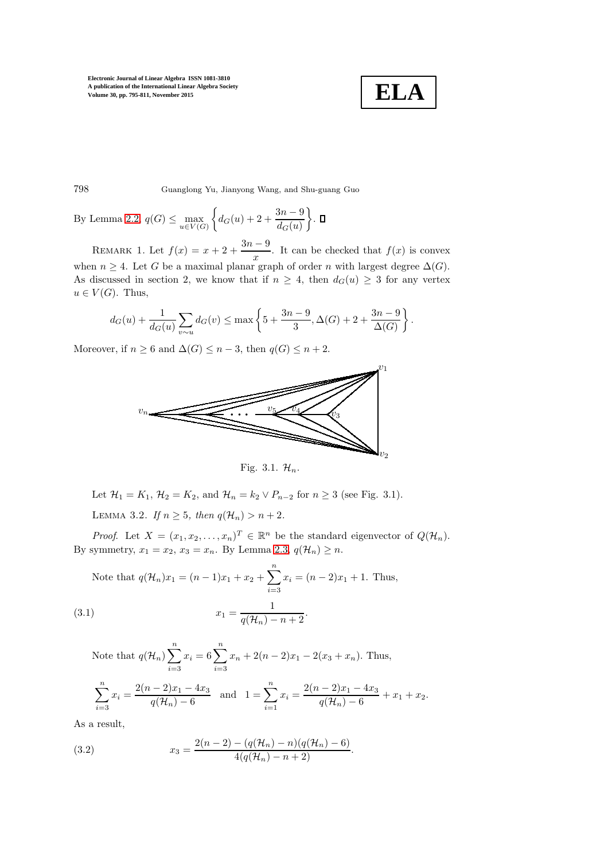

798 Guanglong Yu, Jianyong Wang, and Shu-guang Guo

By Lemma [2.2,](#page-2-0)  $q(G) \leq \max_{u \in V(G)}$  $\left\{ d_G(u) + 2 + \frac{3n-9}{d_G(u)} \right\}$ .

REMARK 1. Let  $f(x) = x + 2 + \frac{3n-9}{3}$  $\frac{v}{x}$ . It can be checked that  $f(x)$  is convex when  $n \geq 4$ . Let G be a maximal planar graph of order n with largest degree  $\Delta(G)$ . As discussed in section 2, we know that if  $n \geq 4$ , then  $d_G(u) \geq 3$  for any vertex  $u \in V(G)$ . Thus,

$$
d_G(u) + \frac{1}{d_G(u)} \sum_{v \sim u} d_G(v) \le \max\left\{5 + \frac{3n-9}{3}, \Delta(G) + 2 + \frac{3n-9}{\Delta(G)}\right\}.
$$

Moreover, if  $n \geq 6$  and  $\Delta(G) \leq n-3$ , then  $q(G) \leq n+2$ .



Fig. 3.1.  $\mathcal{H}_n$ .

<span id="page-3-2"></span>Let  $\mathcal{H}_1 = K_1$ ,  $\mathcal{H}_2 = K_2$ , and  $\mathcal{H}_n = k_2 \vee P_{n-2}$  for  $n \geq 3$  (see Fig. 3.1).

LEMMA 3.2. If  $n > 5$ , then  $q(\mathcal{H}_n) > n+2$ .

*Proof.* Let  $X = (x_1, x_2, \dots, x_n)^T \in \mathbb{R}^n$  be the standard eigenvector of  $Q(\mathcal{H}_n)$ . By symmetry,  $x_1 = x_2$ ,  $x_3 = x_n$ . By Lemma [2.3,](#page-2-1)  $q(\mathcal{H}_n) \geq n$ .

Note that 
$$
q(\mathcal{H}_n)x_1 = (n-1)x_1 + x_2 + \sum_{i=3}^n x_i = (n-2)x_1 + 1
$$
. Thus,  
(3.1) 
$$
x_1 = \frac{1}{q(\mathcal{H}_n) - n + 2}.
$$

<span id="page-3-0"></span>Note that  $q(\mathcal{H}_n)\sum_{n=1}^n$  $i=3$  $x_i = 6\sum_{i=1}^n$  $i=3$  $x_n + 2(n-2)x_1 - 2(x_3 + x_n)$ . Thus,  $\sum_{n=1}^{\infty}$  $i=3$  $x_i = \frac{2(n-2)x_1 - 4x_3}{a(2i) - 6}$  $\frac{(n-2)x_1 - 4x_3}{q(\mathcal{H}_n) - 6}$  and  $1 = \sum_{i=1}^n$  $i=1$  $x_i = \frac{2(n-2)x_1 - 4x_3}{a(2i-x_1)x_2}$  $\frac{1}{q(\mathcal{H}_n) - 6} + x_1 + x_2.$ 

As a result,

<span id="page-3-1"></span>(3.2) 
$$
x_3 = \frac{2(n-2) - (q(\mathcal{H}_n) - n)(q(\mathcal{H}_n) - 6)}{4(q(\mathcal{H}_n) - n + 2)}.
$$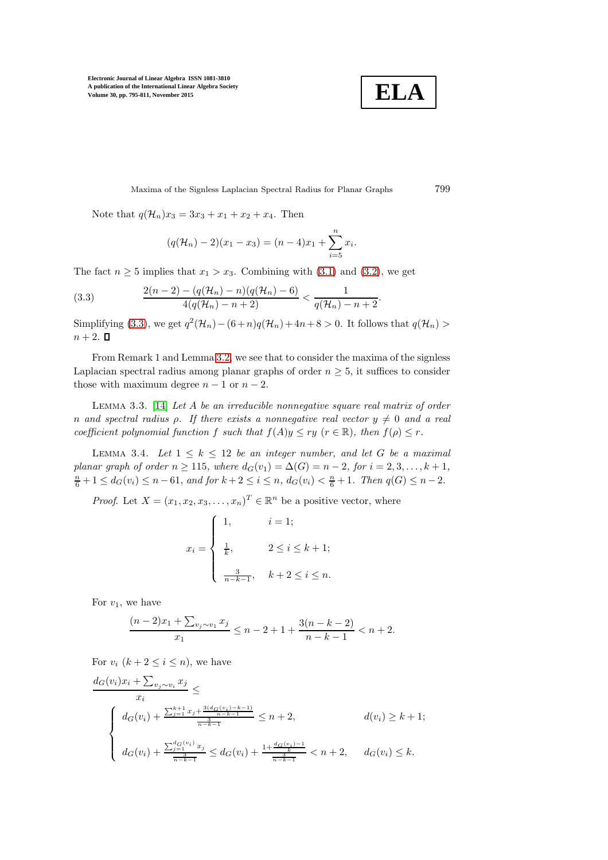

Maxima of the Signless Laplacian Spectral Radius for Planar Graphs 799

Note that  $q(\mathcal{H}_n)x_3 = 3x_3 + x_1 + x_2 + x_4$ . Then

<span id="page-4-0"></span>
$$
(q(\mathcal{H}_n) - 2)(x_1 - x_3) = (n - 4)x_1 + \sum_{i=5}^{n} x_i.
$$

The fact  $n \geq 5$  implies that  $x_1 > x_3$ . Combining with [\(3.1\)](#page-3-0) and [\(3.2\)](#page-3-1), we get

(3.3) 
$$
\frac{2(n-2) - (q(\mathcal{H}_n) - n)(q(\mathcal{H}_n) - 6)}{4(q(\mathcal{H}_n) - n + 2)} < \frac{1}{q(\mathcal{H}_n) - n + 2}.
$$

Simplifying [\(3.3\)](#page-4-0), we get  $q^2(\mathcal{H}_n) - (6+n)q(\mathcal{H}_n) + 4n + 8 > 0$ . It follows that  $q(\mathcal{H}_n) >$  $n+2$ .  $\Box$ 

From Remark 1 and Lemma [3.2,](#page-3-2) we see that to consider the maxima of the signless Laplacian spectral radius among planar graphs of order  $n \geq 5$ , it suffices to consider those with maximum degree  $n - 1$  or  $n - 2$ .

<span id="page-4-1"></span>LEMMA 3.3.  $[14]$  Let A be an irreducible nonnegative square real matrix of order n and spectral radius  $\rho$ . If there exists a nonnegative real vector  $y \neq 0$  and a real coefficient polynomial function f such that  $f(A)y \leq ry$  ( $r \in \mathbb{R}$ ), then  $f(\rho) \leq r$ .

<span id="page-4-2"></span>LEMMA 3.4. Let  $1 \leq k \leq 12$  be an integer number, and let G be a maximal planar graph of order  $n \ge 115$ , where  $d_G(v_1) = \Delta(G) = n - 2$ , for  $i = 2, 3, ..., k + 1$ ,  $\frac{n}{6}+1 \leq d_G(v_i) \leq n-61$ , and for  $k+2 \leq i \leq n$ ,  $d_G(v_i) < \frac{n}{6}+1$ . Then  $q(G) \leq n-2$ .

*Proof.* Let  $X = (x_1, x_2, x_3, \dots, x_n)^T \in \mathbb{R}^n$  be a positive vector, where

$$
x_i = \begin{cases} 1, & i = 1; \\ \frac{1}{k}, & 2 \le i \le k+1; \\ \frac{3}{n-k-1}, & k+2 \le i \le n. \end{cases}
$$

For  $v_1$ , we have

$$
\frac{(n-2)x_1 + \sum_{v_j \sim v_1} x_j}{x_1} \le n-2+1+\frac{3(n-k-2)}{n-k-1} < n+2.
$$

For  $v_i$   $(k+2 \leq i \leq n)$ , we have

$$
\frac{d_G(v_i)x_i + \sum_{v_j \sim v_i} x_j}{x_i} \le
$$
\n
$$
\begin{cases}\n d_G(v_i) + \frac{\sum_{j=1}^{k+1} x_j + \frac{3(d_G(v_i) - k - 1)}{n - k - 1}}{\frac{3}{n - k - 1}} \le n + 2, & d(v_i) \ge k + 1; \\
d_G(v_i) + \frac{\sum_{j=1}^{d_G(v_i)} x_j}{\frac{3}{n - k - 1}} \le d_G(v_i) + \frac{1 + \frac{d_G(v_i) - 1}{n - k - 1}}{\frac{3}{n - k - 1}} < n + 2, & d_G(v_i) \le k.\n\end{cases}
$$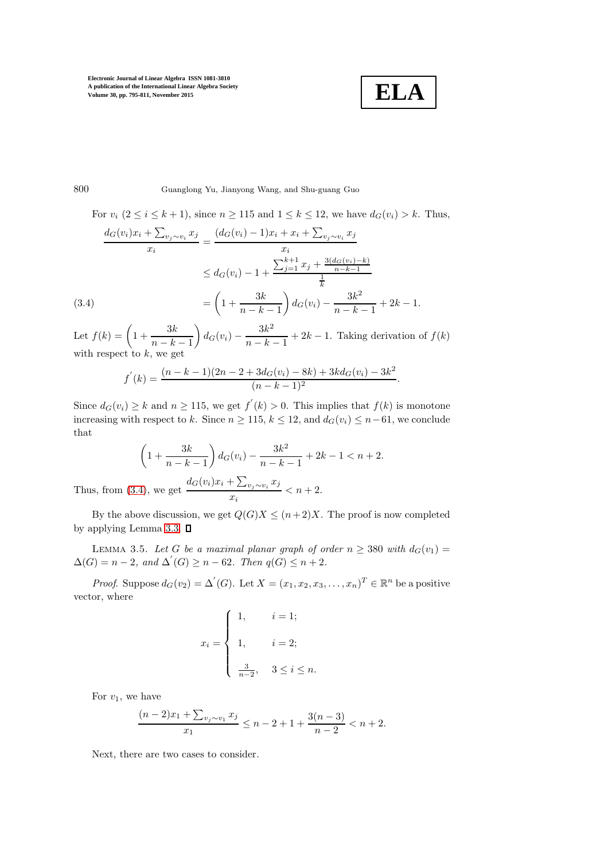

800 Guanglong Yu, Jianyong Wang, and Shu-guang Guo

<span id="page-5-0"></span>For  $v_i$   $(2 \le i \le k+1)$ , since  $n \ge 115$  and  $1 \le k \le 12$ , we have  $d_G(v_i) > k$ . Thus,

$$
\frac{d_G(v_i)x_i + \sum_{v_j \sim v_i} x_j}{x_i} = \frac{(d_G(v_i) - 1)x_i + x_i + \sum_{v_j \sim v_i} x_j}{x_i}
$$
  
\n
$$
\leq d_G(v_i) - 1 + \frac{\sum_{j=1}^{k+1} x_j + \frac{3(d_G(v_i) - k)}{n - k - 1}}{\frac{1}{k}}
$$
  
\n(3.4)  
\n
$$
= \left(1 + \frac{3k}{n - k - 1}\right) d_G(v_i) - \frac{3k^2}{n - k - 1} + 2k - 1.
$$

Let  $f(k) = \left(1 + \frac{3k}{k}\right)$  $n-k-1$  $\bigg\} d_G(v_i) - \frac{3k^2}{\cdots k}$  $\frac{3n}{n-k-1} + 2k - 1$ . Taking derivation of  $f(k)$ with respect to  $k$ , we get

$$
f^{'}(k) = \frac{(n-k-1)(2n-2+3d_G(v_i)-8k)+3kd_G(v_i)-3k^2}{(n-k-1)^2}.
$$

Since  $d_G(v_i) \geq k$  and  $n \geq 115$ , we get  $f'(k) > 0$ . This implies that  $f(k)$  is monotone increasing with respect to k. Since  $n \ge 115$ ,  $k \le 12$ , and  $d_G(v_i) \le n-61$ , we conclude that

$$
\left(1 + \frac{3k}{n-k-1}\right)d_G(v_i) - \frac{3k^2}{n-k-1} + 2k - 1 < n+2.
$$
\nThus, from (3.4), we get

\n
$$
\frac{d_G(v_i)x_i + \sum_{v_j \sim v_i} x_j}{x_i} < n+2.
$$

By the above discussion, we get  $Q(G)X \leq (n+2)X$ . The proof is now completed by applying Lemma [3.3.](#page-4-1)  $\square$ 

LEMMA 3.5. Let G be a maximal planar graph of order  $n \geq 380$  with  $d_G(v_1) =$  $\Delta(G) = n - 2$ , and  $\Delta'(G) \geq n - 62$ . Then  $q(G) \leq n + 2$ .

*Proof.* Suppose  $d_G(v_2) = \Delta'(G)$ . Let  $X = (x_1, x_2, x_3, \ldots, x_n)^T \in \mathbb{R}^n$  be a positive vector, where

$$
x_i = \begin{cases} 1, & i = 1; \\ 1, & i = 2; \\ \frac{3}{n-2}, & 3 \le i \le n. \end{cases}
$$

For  $v_1$ , we have

$$
\frac{(n-2)x_1 + \sum_{v_j \sim v_1} x_j}{x_1} \le n-2+1+\frac{3(n-3)}{n-2} < n+2.
$$

Next, there are two cases to consider.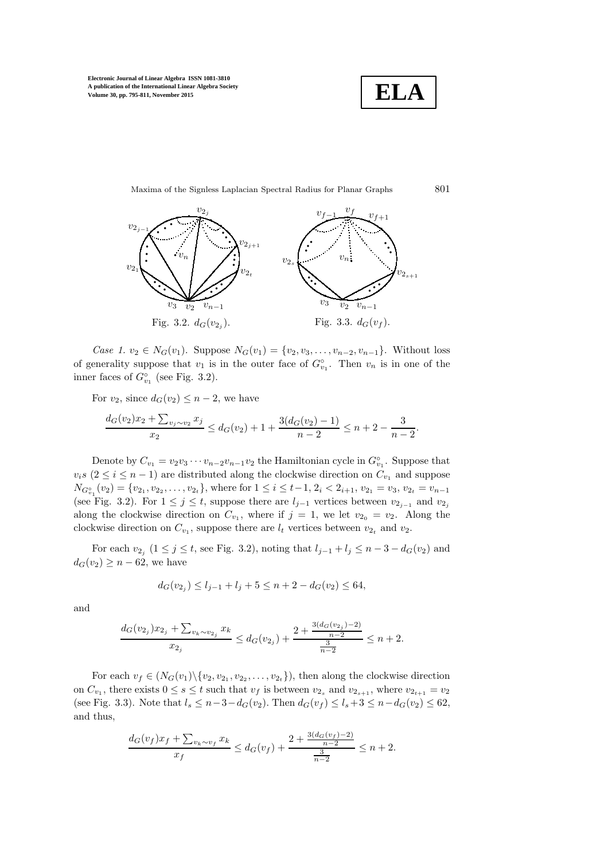



Case 1.  $v_2$  ∈  $N_G(v_1)$ . Suppose  $N_G(v_1) = \{v_2, v_3, \ldots, v_{n-2}, v_{n-1}\}.$  Without loss of generality suppose that  $v_1$  is in the outer face of  $G_{v_1}^{\circ}$ . Then  $v_n$  is in one of the inner faces of  $G_{v_1}^{\circ}$  (see Fig. 3.2).

For  $v_2$ , since  $d_G(v_2) \leq n-2$ , we have

$$
\frac{d_G(v_2)x_2 + \sum_{v_j \sim v_2} x_j}{x_2} \le d_G(v_2) + 1 + \frac{3(d_G(v_2) - 1)}{n - 2} \le n + 2 - \frac{3}{n - 2}.
$$

Denote by  $C_{v_1} = v_2v_3 \cdots v_{n-2}v_{n-1}v_2$  the Hamiltonian cycle in  $G_{v_1}^{\circ}$ . Suppose that  $v_i s$  ( $2 \le i \le n-1$ ) are distributed along the clockwise direction on  $C_{v_1}$  and suppose  $N_{G_{v_1}^{\circ}}(v_2) = \{v_{2_1}, v_{2_2}, \ldots, v_{2_t}\}\$ , where for  $1 \leq i \leq t-1$ ,  $2_i < 2_{i+1}$ ,  $v_{2_1} = v_3$ ,  $v_{2_t} = v_{n-1}$ (see Fig. 3.2). For  $1 \leq j \leq t$ , suppose there are  $l_{j-1}$  vertices between  $v_{2_{j-1}}$  and  $v_{2_j}$ along the clockwise direction on  $C_{v_1}$ , where if  $j = 1$ , we let  $v_{2_0} = v_2$ . Along the clockwise direction on  $C_{v_1}$ , suppose there are  $l_t$  vertices between  $v_{2t}$  and  $v_2$ .

For each  $v_{2j}$   $(1 \le j \le t$ , see Fig. 3.2), noting that  $l_{j-1} + l_j \le n-3-d_G(v_2)$  and  $d_G(v_2) \geq n - 62$ , we have

$$
d_G(v_{2j}) \le l_{j-1} + l_j + 5 \le n + 2 - d_G(v_2) \le 64,
$$

and

$$
\frac{d_G(v_{2_j})x_{2_j} + \sum_{v_k \sim v_{2_j}} x_k}{x_{2_j}} \leq d_G(v_{2_j}) + \frac{2 + \frac{3(d_G(v_{2_j}) - 2)}{n - 2}}{\frac{3}{n - 2}} \leq n + 2.
$$

For each  $v_f \in (N_G(v_1) \setminus \{v_2, v_{2_1}, v_{2_2}, \ldots, v_{2_t}\})$ , then along the clockwise direction on  $C_{v_1}$ , there exists  $0 \le s \le t$  such that  $v_f$  is between  $v_{2s}$  and  $v_{2s+1}$ , where  $v_{2t+1} = v_2$ (see Fig. 3.3). Note that  $l_s \leq n-3-d_G(v_2)$ . Then  $d_G(v_f) \leq l_s+3 \leq n-d_G(v_2) \leq 62$ , and thus,

$$
\frac{d_G(v_f)x_f + \sum_{v_k \sim v_f} x_k}{x_f} \le d_G(v_f) + \frac{2 + \frac{3(d_G(v_f) - 2)}{n - 2}}{\frac{3}{n - 2}} \le n + 2.
$$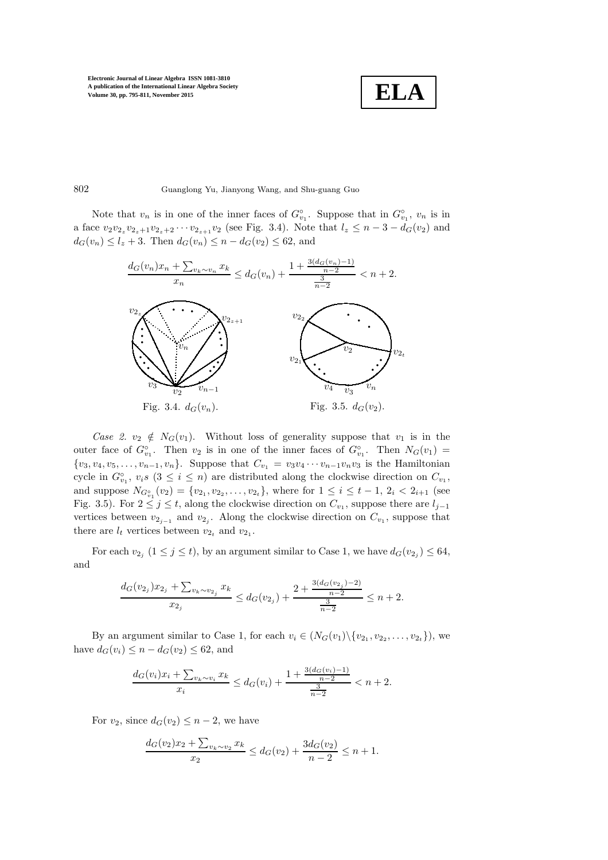$$
\boxed{\textbf{ELA}}
$$

802 Guanglong Yu, Jianyong Wang, and Shu-guang Guo

Note that  $v_n$  is in one of the inner faces of  $G_{v_1}^{\circ}$ . Suppose that in  $G_{v_1}^{\circ}$ ,  $v_n$  is in a face  $v_2v_{2_z}v_{2_z+1}v_{2_z+2}\cdots v_{2_{z+1}}v_2$  (see Fig. 3.4). Note that  $l_z \leq n-3-d_G(v_2)$  and  $d_G(v_n) \le l_z + 3$ . Then  $d_G(v_n) \le n - d_G(v_2) \le 62$ , and



Case 2.  $v_2 \notin N_G(v_1)$ . Without loss of generality suppose that  $v_1$  is in the outer face of  $G_{v_1}^{\circ}$ . Then  $v_2$  is in one of the inner faces of  $G_{v_1}^{\circ}$ . Then  $N_G(v_1)$  =  ${v_3, v_4, v_5, \ldots, v_{n-1}, v_n}$ . Suppose that  $C_{v_1} = v_3v_4 \cdots v_{n-1}v_nv_3$  is the Hamiltonian cycle in  $G_{v_1}^{\circ}$ ,  $v_i s$  ( $3 \leq i \leq n$ ) are distributed along the clockwise direction on  $C_{v_1}$ , and suppose  $N_{G_{v_1}^{\circ}}(v_2) = \{v_{2_1}, v_{2_2}, \ldots, v_{2_t}\}$ , where for  $1 \leq i \leq t-1$ ,  $2_i < 2_{i+1}$  (see Fig. 3.5). For  $2 \leq j \leq t$ , along the clockwise direction on  $C_{v_1}$ , suppose there are  $l_{j-1}$ vertices between  $v_{2_{j-1}}$  and  $v_{2_j}$ . Along the clockwise direction on  $C_{v_1}$ , suppose that there are  $l_t$  vertices between  $v_{2_t}$  and  $v_{2_1}$ .

For each  $v_{2j}$   $(1 \leq j \leq t)$ , by an argument similar to Case 1, we have  $d_G(v_{2j}) \leq 64$ , and

$$
\frac{d_G(v_{2_j})x_{2_j} + \sum_{v_k \sim v_{2_j}} x_k}{x_{2_j}} \le d_G(v_{2_j}) + \frac{2 + \frac{3(d_G(v_{2_j}) - 2)}{n - 2}}{\frac{3}{n - 2}} \le n + 2.
$$

By an argument similar to Case 1, for each  $v_i \in (N_G(v_1) \setminus \{v_{2_1}, v_{2_2}, \ldots, v_{2_t}\})$ , we have  $d_G(v_i) \leq n - d_G(v_2) \leq 62$ , and

$$
\frac{d_G(v_i)x_i + \sum_{v_k \sim v_i} x_k}{x_i} \le d_G(v_i) + \frac{1 + \frac{3(d_G(v_i) - 1)}{n - 2}}{\frac{3}{n - 2}} < n + 2.
$$

For  $v_2$ , since  $d_G(v_2) \leq n-2$ , we have

$$
\frac{d_G(v_2)x_2 + \sum_{v_k \sim v_2} x_k}{x_2} \le d_G(v_2) + \frac{3d_G(v_2)}{n-2} \le n+1.
$$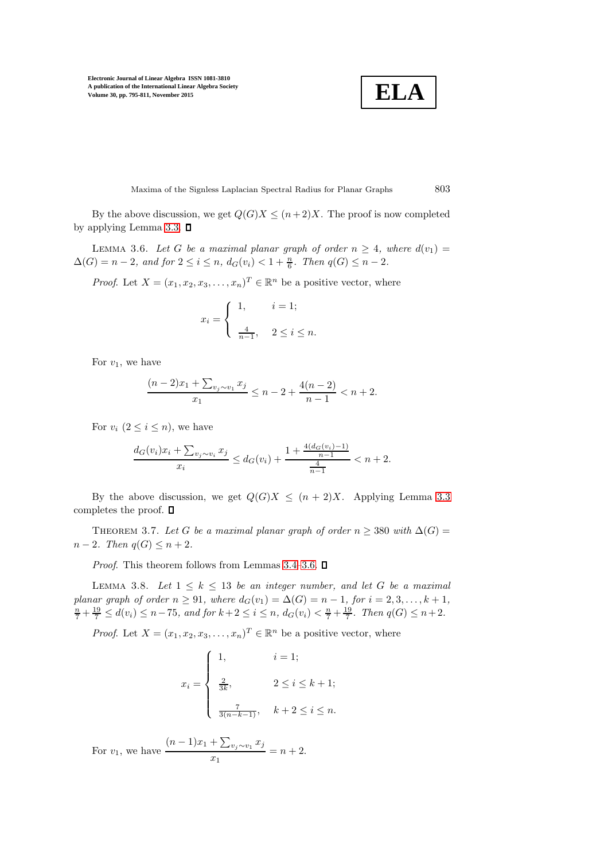**ELA**

Maxima of the Signless Laplacian Spectral Radius for Planar Graphs 803

<span id="page-8-0"></span>By the above discussion, we get  $Q(G)X \leq (n+2)X$ . The proof is now completed by applying Lemma [3.3.](#page-4-1)  $\square$ 

LEMMA 3.6. Let G be a maximal planar graph of order  $n \geq 4$ , where  $d(v_1) =$  $\Delta(G) = n - 2$ , and for  $2 \le i \le n$ ,  $d_G(v_i) < 1 + \frac{n}{6}$ . Then  $q(G) \le n - 2$ .

*Proof.* Let  $X = (x_1, x_2, x_3, \dots, x_n)^T \in \mathbb{R}^n$  be a positive vector, where

$$
x_i = \begin{cases} 1, & i = 1; \\ \frac{4}{n-1}, & 2 \le i \le n. \end{cases}
$$

For  $v_1$ , we have

$$
\frac{(n-2)x_1 + \sum_{v_j \sim v_1} x_j}{x_1} \le n - 2 + \frac{4(n-2)}{n-1} < n + 2.
$$

For  $v_i$   $(2 \leq i \leq n)$ , we have

$$
\frac{d_G(v_i)x_i + \sum_{v_j \sim v_i} x_j}{x_i} \le d_G(v_i) + \frac{1 + \frac{4(d_G(v_i) - 1)}{n - 1}}{\frac{4}{n - 1}} < n + 2.
$$

<span id="page-8-2"></span>By the above discussion, we get  $Q(G)X \leq (n+2)X$ . Applying Lemma [3.3](#page-4-1) completes the proof.  $\square$ 

THEOREM 3.7. Let G be a maximal planar graph of order  $n \geq 380$  with  $\Delta(G)$  =  $n-2$ . Then  $q(G) \leq n+2$ .

<span id="page-8-1"></span>*Proof.* This theorem follows from Lemmas [3.4](#page-4-2)[–3.6.](#page-8-0)  $\Box$ 

LEMMA 3.8. Let  $1 \leq k \leq 13$  be an integer number, and let G be a maximal planar graph of order  $n \ge 91$ , where  $d_G(v_1) = \Delta(G) = n - 1$ , for  $i = 2, 3, ..., k + 1$ ,  $\frac{n}{7} + \frac{19}{7} \le d(v_i) \le n - 75$ , and for  $k + 2 \le i \le n$ ,  $d_G(v_i) < \frac{n}{7} + \frac{19}{7}$ . Then  $q(G) \le n + 2$ .

*Proof.* Let  $X = (x_1, x_2, x_3, \dots, x_n)^T \in \mathbb{R}^n$  be a positive vector, where

$$
x_{i} = \begin{cases} 1, & i = 1; \\ \frac{2}{3k}, & 2 \leq i \leq k+1; \\ \frac{7}{3(n-k-1)}, & k+2 \leq i \leq n. \end{cases}
$$

For  $v_1$ , we have  $(n-1)x_1 + \sum_{v_j \sim v_1} x_j$  $\frac{2\sum_{v_j \sim v_1} v_j}{x_1} = n + 2.$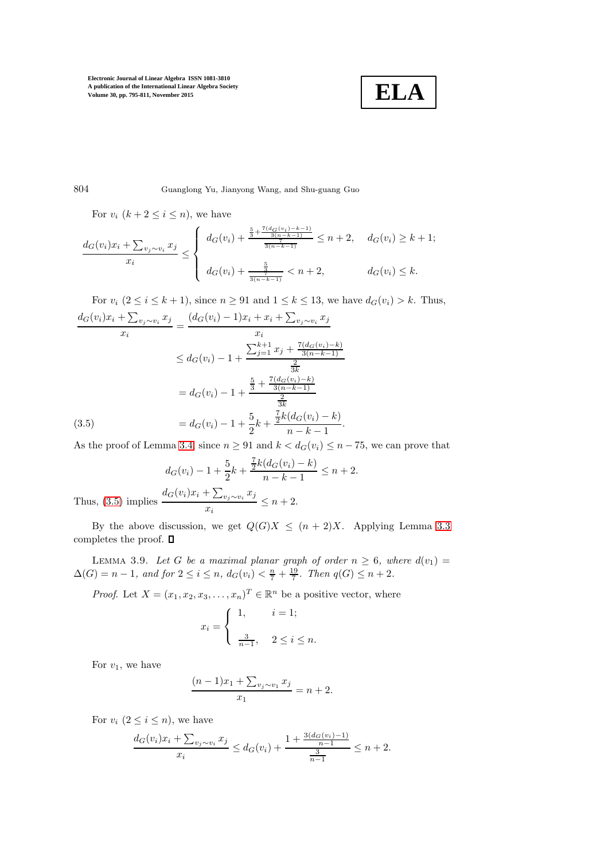

804 Guanglong Yu, Jianyong Wang, and Shu-guang Guo

For  $v_i$   $(k+2 \leq i \leq n)$ , we have

$$
\frac{d_G(v_i)x_i + \sum_{v_j \sim v_i} x_j}{x_i} \le \begin{cases} d_G(v_i) + \frac{\frac{5}{3} + \frac{7(d_G(v_i) - k - 1)}{3(n - k - 1)}}{\frac{1}{3(n - k - 1)}} \le n + 2, & d_G(v_i) \ge k + 1; \\ d_G(v_i) + \frac{\frac{5}{3}}{\frac{7}{3(n - k - 1)}} < n + 2, & d_G(v_i) \le k. \end{cases}
$$

For  $v_i$   $(2 \le i \le k+1)$ , since  $n \ge 91$  and  $1 \le k \le 13$ , we have  $d_G(v_i) > k$ . Thus,

<span id="page-9-0"></span>
$$
\frac{d_G(v_i)x_i + \sum_{v_j \sim v_i} x_j}{x_i} = \frac{(d_G(v_i) - 1)x_i + x_i + \sum_{v_j \sim v_i} x_j}{x_i}
$$
\n
$$
\leq d_G(v_i) - 1 + \frac{\sum_{j=1}^{k+1} x_j + \frac{7(d_G(v_i) - k)}{3(n - k - 1)}}{\frac{2}{3k}}
$$
\n
$$
= d_G(v_i) - 1 + \frac{\frac{5}{3} + \frac{7(d_G(v_i) - k)}{3(n - k - 1)}}{\frac{2}{3k}}
$$
\n(3.5)\n
$$
= d_G(v_i) - 1 + \frac{5}{2}k + \frac{\frac{7}{2}k(d_G(v_i) - k)}{n - k - 1}.
$$

As the proof of Lemma [3.4,](#page-4-2) since  $n \ge 91$  and  $k < d_G(v_i) \le n - 75$ , we can prove that

$$
d_G(v_i) - 1 + \frac{5}{2}k + \frac{\frac{7}{2}k(d_G(v_i) - k)}{n - k - 1} \le n + 2.
$$
  
Thus, (3.5) implies 
$$
\frac{d_G(v_i)x_i + \sum_{v_j \sim v_i} x_j}{x_i} \le n + 2.
$$

By the above discussion, we get  $Q(G)X \leq (n+2)X$ . Applying Lemma [3.3](#page-4-1) completes the proof.  $\square$ 

LEMMA 3.9. Let G be a maximal planar graph of order  $n \geq 6$ , where  $d(v_1) =$  $\Delta(G) = n - 1$ , and for  $2 \le i \le n$ ,  $d_G(v_i) < \frac{n}{7} + \frac{19}{7}$ . Then  $q(G) \le n + 2$ .

*Proof.* Let  $X = (x_1, x_2, x_3, \dots, x_n)^T \in \mathbb{R}^n$  be a positive vector, where

$$
x_i = \begin{cases} 1, & i = 1; \\ \frac{3}{n-1}, & 2 \le i \le n. \end{cases}
$$

For  $v_1$ , we have

$$
\frac{(n-1)x_1 + \sum_{v_j \sim v_1} x_j}{x_1} = n+2.
$$

For  $v_i$   $(2 \leq i \leq n)$ , we have

$$
\frac{d_G(v_i)x_i + \sum_{v_j \sim v_i} x_j}{x_i} \le d_G(v_i) + \frac{1 + \frac{3(d_G(v_i) - 1)}{n - 1}}{\frac{3}{n - 1}} \le n + 2.
$$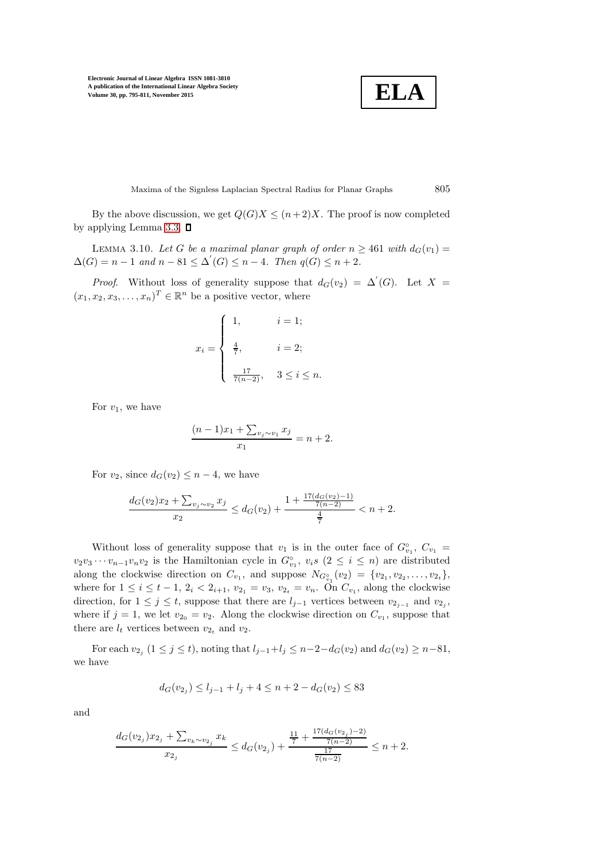**ELA**

Maxima of the Signless Laplacian Spectral Radius for Planar Graphs 805

By the above discussion, we get  $Q(G)X \leq (n+2)X$ . The proof is now completed by applying Lemma [3.3.](#page-4-1)  $\square$ 

LEMMA 3.10. Let G be a maximal planar graph of order  $n \geq 461$  with  $d_G(v_1) =$  $\Delta(G) = n - 1$  and  $n - 81 \leq \Delta'(G) \leq n - 4$ . Then  $q(G) \leq n + 2$ .

*Proof.* Without loss of generality suppose that  $d_G(v_2) = \Delta'(G)$ . Let  $X =$  $(x_1, x_2, x_3, \ldots, x_n)^T \in \mathbb{R}^n$  be a positive vector, where

$$
x_{i} = \begin{cases} 1, & i = 1; \\ \frac{4}{7}, & i = 2; \\ \frac{17}{7(n-2)}, & 3 \leq i \leq n. \end{cases}
$$

For  $v_1$ , we have

$$
\frac{(n-1)x_1 + \sum_{v_j \sim v_1} x_j}{x_1} = n+2.
$$

For  $v_2$ , since  $d_G(v_2) \leq n-4$ , we have

$$
\frac{d_G(v_2)x_2 + \sum_{v_j \sim v_2} x_j}{x_2} \le d_G(v_2) + \frac{1 + \frac{17(d_G(v_2) - 1)}{7(n - 2)}}{\frac{4}{7}} < n + 2.
$$

Without loss of generality suppose that  $v_1$  is in the outer face of  $G_{v_1}^{\circ}, C_{v_1} =$  $v_2v_3\cdots v_{n-1}v_nv_2$  is the Hamiltonian cycle in  $G_{v_1}^{\circ}$ ,  $v_is$   $(2 \leq i \leq n)$  are distributed along the clockwise direction on  $C_{v_1}$ , and suppose  $N_{G_{v_1}^{\circ}}(v_2) = \{v_{2_1}, v_{2_2}, \ldots, v_{2_t}\},\$ where for  $1 \le i \le t - 1$ ,  $2_i < 2_{i+1}$ ,  $v_{2_1} = v_3$ ,  $v_{2_t} = v_n$ . On  $C_{v_1}$ , along the clockwise direction, for  $1 \leq j \leq t$ , suppose that there are  $l_{j-1}$  vertices between  $v_{2_{j-1}}$  and  $v_{2_j}$ , where if  $j = 1$ , we let  $v_{2<sub>0</sub>} = v_2$ . Along the clockwise direction on  $C_{v_1}$ , suppose that there are  $l_t$  vertices between  $v_{2t}$  and  $v_2$ .

For each  $v_{2j}$   $(1 \le j \le t)$ , noting that  $l_{j-1} + l_j \le n-2-d_G(v_2)$  and  $d_G(v_2) \ge n-81$ , we have

$$
d_G(v_{2j}) \le l_{j-1} + l_j + 4 \le n + 2 - d_G(v_2) \le 83
$$

and

$$
\frac{d_G(v_{2_j})x_{2_j} + \sum_{v_k \sim v_{2_j}} x_k}{x_{2_j}} \leq d_G(v_{2_j}) + \frac{\frac{11}{7} + \frac{17(d_G(v_{2_j}) - 2)}{7(n-2)}}{\frac{17}{7(n-2)}} \leq n + 2.
$$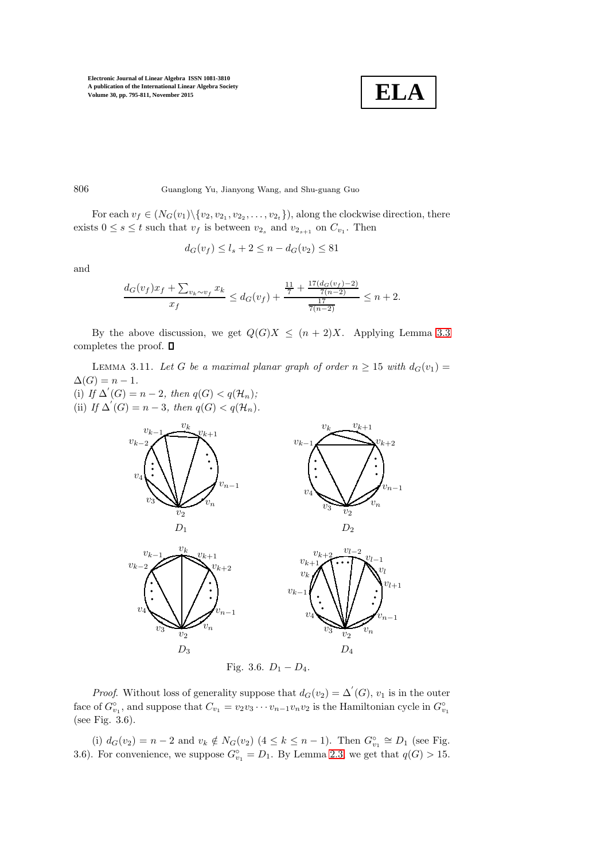

806 Guanglong Yu, Jianyong Wang, and Shu-guang Guo

For each  $v_f \in (N_G(v_1) \setminus \{v_2, v_{2_1}, v_{2_2}, \ldots, v_{2_t}\})$ , along the clockwise direction, there exists  $0 \leq s \leq t$  such that  $v_f$  is between  $v_{2_s}$  and  $v_{2_{s+1}}$  on  $C_{v_1}$ . Then

$$
d_G(v_f) \le l_s + 2 \le n - d_G(v_2) \le 81
$$

and

$$
\frac{d_G(v_f)x_f + \sum_{v_k \sim v_f} x_k}{x_f} \le d_G(v_f) + \frac{\frac{11}{7} + \frac{17(d_G(v_f) - 2)}{7(n-2)}}{\frac{17}{7(n-2)}} \le n + 2.
$$

<span id="page-11-0"></span>By the above discussion, we get  $Q(G)X \leq (n+2)X$ . Applying Lemma [3.3](#page-4-1) completes the proof.  $\square$ 

LEMMA 3.11. Let G be a maximal planar graph of order  $n \geq 15$  with  $d_G(v_1) =$  $\Delta(G) = n - 1.$ 

(i) If  $\Delta'(G) = n - 2$ , then  $q(G) < q(\mathcal{H}_n)$ ; (ii) If  $\Delta'(G) = n - 3$ , then  $q(G) < q(H_n)$ .



*Proof.* Without loss of generality suppose that  $d_G(v_2) = \Delta'(G)$ ,  $v_1$  is in the outer face of  $G_{v_1}^{\circ}$ , and suppose that  $C_{v_1} = v_2v_3\cdots v_{n-1}v_nv_2$  is the Hamiltonian cycle in  $G_{v_1}^{\circ}$ (see Fig. 3.6).

(i)  $d_G(v_2) = n - 2$  and  $v_k \notin N_G(v_2)$   $(4 \leq k \leq n - 1)$ . Then  $G_{v_1}^{\circ} \cong D_1$  (see Fig. 3.6). For convenience, we suppose  $G_{v_1}^{\circ} = D_1$ . By Lemma [2.3,](#page-2-1) we get that  $q(G) > 15$ .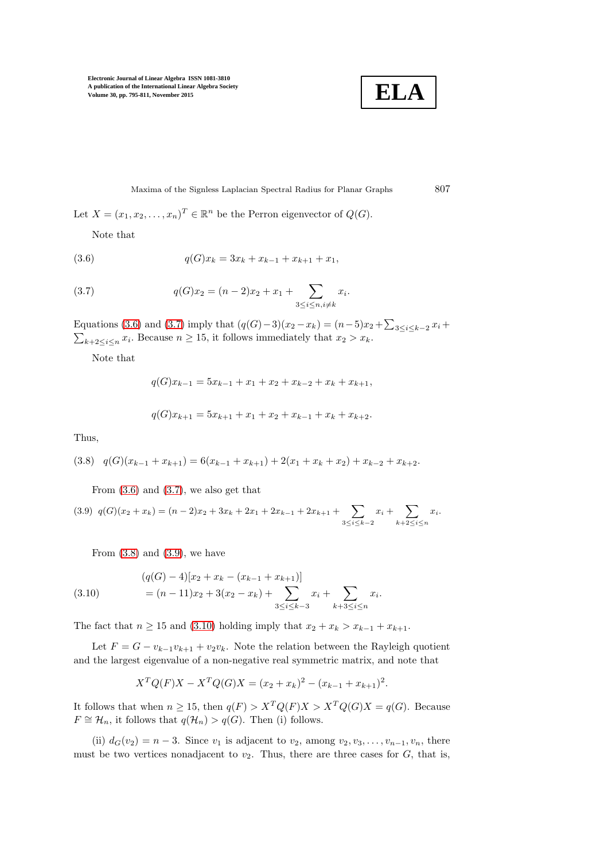

<span id="page-12-0"></span>Maxima of the Signless Laplacian Spectral Radius for Planar Graphs 807

Let  $X = (x_1, x_2, \dots, x_n)^T \in \mathbb{R}^n$  be the Perron eigenvector of  $Q(G)$ .

Note that

(3.6) 
$$
q(G)x_k = 3x_k + x_{k-1} + x_{k+1} + x_1,
$$

(3.7) 
$$
q(G)x_2 = (n-2)x_2 + x_1 + \sum_{3 \le i \le n, i \ne k} x_i.
$$

Equations [\(3.6\)](#page-12-0) and [\(3.7\)](#page-12-1) imply that  $(q(G)-3)(x_2-x_k) = (n-5)x_2 + \sum_{3 \leq i \leq k-2} x_i$  +  $\sum_{k+2 \leq i \leq n} x_i$ . Because  $n \geq 15$ , it follows immediately that  $x_2 > x_k$ .

Note that

<span id="page-12-1"></span>
$$
q(G)x_{k-1} = 5x_{k-1} + x_1 + x_2 + x_{k-2} + x_k + x_{k+1},
$$

$$
q(G)x_{k+1} = 5x_{k+1} + x_1 + x_2 + x_{k-1} + x_k + x_{k+2}.
$$

Thus,

<span id="page-12-2"></span>
$$
(3.8) \quad q(G)(x_{k-1} + x_{k+1}) = 6(x_{k-1} + x_{k+1}) + 2(x_1 + x_k + x_2) + x_{k-2} + x_{k+2}.
$$

From  $(3.6)$  and  $(3.7)$ , we also get that

<span id="page-12-3"></span> $q(G)(x_2 + x_k) = (n-2)x_2 + 3x_k + 2x_1 + 2x_{k-1} + 2x_{k+1} + \sum$ 3≤i≤k−2  $x_i + \sum$  $k+2 \leq i \leq n$  $(3.9)$   $q(G)(x_2+x_k) = (n-2)x_2 + 3x_k + 2x_1 + 2x_{k-1} + 2x_{k+1} + \sum x_i + \sum x_i$ 

<span id="page-12-4"></span>From  $(3.8)$  and  $(3.9)$ , we have

(3.10) 
$$
(q(G) - 4)[x_2 + x_k - (x_{k-1} + x_{k+1})] = (n - 11)x_2 + 3(x_2 - x_k) + \sum_{3 \le i \le k-3} x_i + \sum_{k+3 \le i \le n} x_i.
$$

The fact that  $n \ge 15$  and [\(3.10\)](#page-12-4) holding imply that  $x_2 + x_k > x_{k-1} + x_{k+1}$ .

Let  $F = G - v_{k-1}v_{k+1} + v_2v_k$ . Note the relation between the Rayleigh quotient and the largest eigenvalue of a non-negative real symmetric matrix, and note that

$$
X^{T}Q(F)X - X^{T}Q(G)X = (x_2 + x_k)^{2} - (x_{k-1} + x_{k+1})^{2}.
$$

It follows that when  $n \ge 15$ , then  $q(F) > X^T Q(F) X > X^T Q(G) X = q(G)$ . Because  $F \cong \mathcal{H}_n$ , it follows that  $q(\mathcal{H}_n) > q(G)$ . Then (i) follows.

(ii)  $d_G(v_2) = n-3$ . Since  $v_1$  is adjacent to  $v_2$ , among  $v_2, v_3, \ldots, v_{n-1}, v_n$ , there must be two vertices nonadjacent to  $v_2$ . Thus, there are three cases for  $G$ , that is,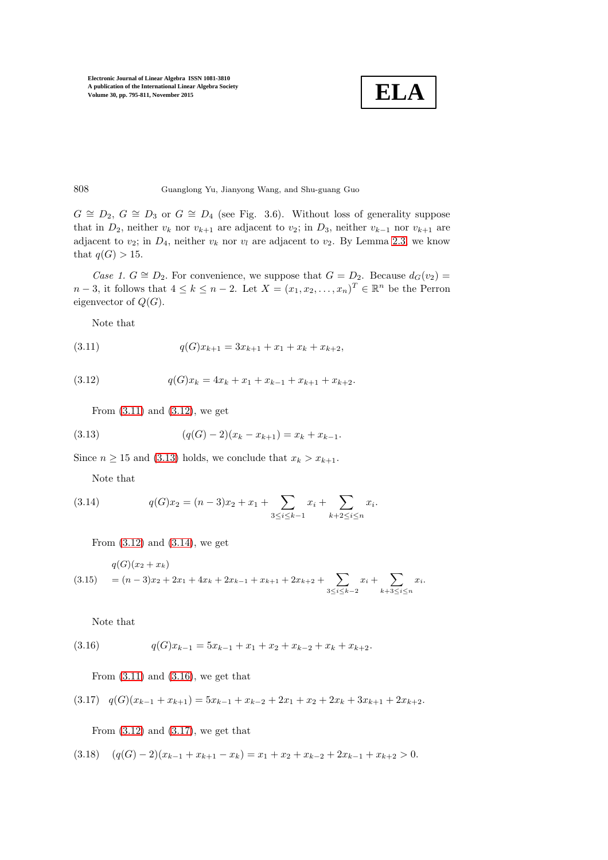

808 Guanglong Yu, Jianyong Wang, and Shu-guang Guo

 $G \cong D_2$ ,  $G \cong D_3$  or  $G \cong D_4$  (see Fig. 3.6). Without loss of generality suppose that in  $D_2$ , neither  $v_k$  nor  $v_{k+1}$  are adjacent to  $v_2$ ; in  $D_3$ , neither  $v_{k-1}$  nor  $v_{k+1}$  are adjacent to  $v_2$ ; in  $D_4$ , neither  $v_k$  nor  $v_l$  are adjacent to  $v_2$ . By Lemma [2.3,](#page-2-1) we know that  $q(G) > 15$ .

Case 1.  $G \cong D_2$ . For convenience, we suppose that  $G = D_2$ . Because  $d_G(v_2) =$  $n-3$ , it follows that  $4 \leq k \leq n-2$ . Let  $X = (x_1, x_2, \ldots, x_n)^T \in \mathbb{R}^n$  be the Perron eigenvector of  $Q(G)$ .

<span id="page-13-0"></span>Note that

$$
(3.11) \t\t q(G)x_{k+1} = 3x_{k+1} + x_1 + x_k + x_{k+2},
$$

$$
(3.12) \t\t q(G)x_k = 4x_k + x_1 + x_{k-1} + x_{k+1} + x_{k+2}.
$$

<span id="page-13-2"></span><span id="page-13-1"></span>From  $(3.11)$  and  $(3.12)$ , we get

$$
(3.13) \qquad (q(G) - 2)(x_k - x_{k+1}) = x_k + x_{k-1}.
$$

Since  $n \ge 15$  and [\(3.13\)](#page-13-2) holds, we conclude that  $x_k > x_{k+1}$ .

<span id="page-13-3"></span>Note that

(3.14) 
$$
q(G)x_2 = (n-3)x_2 + x_1 + \sum_{3 \le i \le k-1} x_i + \sum_{k+2 \le i \le n} x_i.
$$

From  $(3.12)$  and  $(3.14)$ , we get

<span id="page-13-7"></span>
$$
\begin{aligned} q(G)(x_2 + x_k) \\ &= (n-3)x_2 + 2x_1 + 4x_k + 2x_{k-1} + x_{k+1} + 2x_{k+2} + \sum_{3 \le i \le k-2} x_i + \sum_{k+3 \le i \le n} x_i. \end{aligned}
$$

<span id="page-13-4"></span>Note that

$$
(3.16) \tqquad q(G)x_{k-1} = 5x_{k-1} + x_1 + x_2 + x_{k-2} + x_k + x_{k+2}.
$$

<span id="page-13-5"></span>From  $(3.11)$  and  $(3.16)$ , we get that

$$
(3.17) \quad q(G)(x_{k-1} + x_{k+1}) = 5x_{k-1} + x_{k-2} + 2x_1 + x_2 + 2x_k + 3x_{k+1} + 2x_{k+2}.
$$

<span id="page-13-6"></span>From  $(3.12)$  and  $(3.17)$ , we get that

$$
(3.18) \quad (q(G)-2)(x_{k-1}+x_{k+1}-x_k)=x_1+x_2+x_{k-2}+2x_{k-1}+x_{k+2}>0.
$$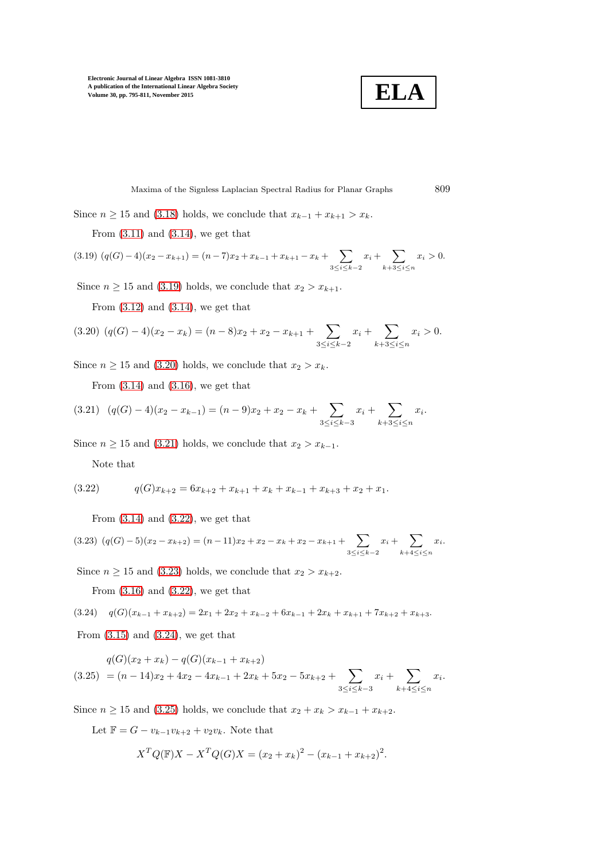**ELA**

Maxima of the Signless Laplacian Spectral Radius for Planar Graphs 809

Since  $n \ge 15$  and [\(3.18\)](#page-13-6) holds, we conclude that  $x_{k-1} + x_{k+1} > x_k$ .

From  $(3.11)$  and  $(3.14)$ , we get that

<span id="page-14-0"></span>
$$
(3.19) (q(G)-4)(x_2-x_{k+1}) = (n-7)x_2 + x_{k-1} + x_{k+1} - x_k + \sum_{3 \le i \le k-2} x_i + \sum_{k+3 \le i \le n} x_i > 0.
$$

Since  $n \ge 15$  and [\(3.19\)](#page-14-0) holds, we conclude that  $x_2 > x_{k+1}$ .

From  $(3.12)$  and  $(3.14)$ , we get that

<span id="page-14-1"></span>
$$
(3.20) (q(G) - 4)(x_2 - x_k) = (n - 8)x_2 + x_2 - x_{k+1} + \sum_{3 \le i \le k-2} x_i + \sum_{k+3 \le i \le n} x_i > 0.
$$

Since  $n \ge 15$  and [\(3.20\)](#page-14-1) holds, we conclude that  $x_2 > x_k$ .

<span id="page-14-2"></span>From  $(3.14)$  and  $(3.16)$ , we get that

$$
(3.21) \quad (q(G) - 4)(x_2 - x_{k-1}) = (n-9)x_2 + x_2 - x_k + \sum_{3 \le i \le k-3} x_i + \sum_{k+3 \le i \le n} x_i.
$$

Since  $n \ge 15$  and [\(3.21\)](#page-14-2) holds, we conclude that  $x_2 > x_{k-1}$ .

<span id="page-14-3"></span>Note that

$$
(3.22) \tqquad q(G)x_{k+2} = 6x_{k+2} + x_{k+1} + x_k + x_{k-1} + x_{k+3} + x_2 + x_1.
$$

From  $(3.14)$  and  $(3.22)$ , we get that

<span id="page-14-4"></span>
$$
(3.23)\ \left(q(G)-5\right)(x_2-x_{k+2})=(n-11)x_2+x_2-x_k+x_2-x_{k+1}+\sum_{3\leq i\leq k-2}x_{i}+\sum_{k+4\leq i\leq n}x_{i}.
$$

Since  $n \ge 15$  and [\(3.23\)](#page-14-4) holds, we conclude that  $x_2 > x_{k+2}$ .

From  $(3.16)$  and  $(3.22)$ , we get that

<span id="page-14-5"></span>(3.24)  $q(G)(x_{k-1} + x_{k+2}) = 2x_1 + 2x_2 + x_{k-2} + 6x_{k-1} + 2x_k + x_{k+1} + 7x_{k+2} + x_{k+3}.$ 

From  $(3.15)$  and  $(3.24)$ , we get that

<span id="page-14-6"></span>
$$
q(G)(x_2 + x_k) - q(G)(x_{k-1} + x_{k+2})
$$
  
(3.25) =  $(n - 14)x_2 + 4x_2 - 4x_{k-1} + 2x_k + 5x_2 - 5x_{k+2} + \sum_{3 \le i \le k-3} x_i + \sum_{k+4 \le i \le n} x_i$ 

Since  $n \ge 15$  and [\(3.25\)](#page-14-6) holds, we conclude that  $x_2 + x_k > x_{k-1} + x_{k+2}$ .

Let  $\mathbb{F} = G - v_{k-1}v_{k+2} + v_2v_k$ . Note that

$$
X^{T}Q(\mathbb{F})X - X^{T}Q(G)X = (x_2 + x_k)^{2} - (x_{k-1} + x_{k+2})^{2}.
$$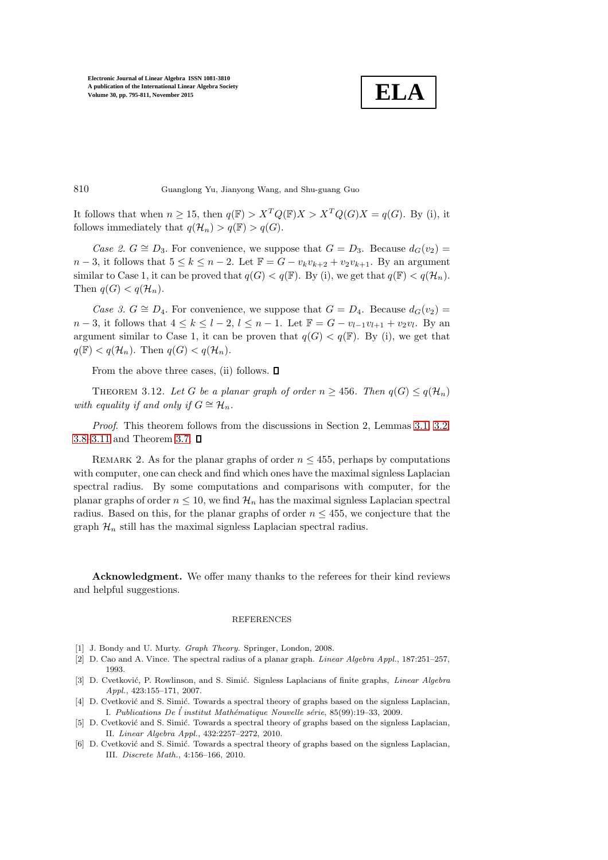**ELA**

810 Guanglong Yu, Jianyong Wang, and Shu-guang Guo

It follows that when  $n \geq 15$ , then  $q(\mathbb{F}) > X^T Q(\mathbb{F}) X > X^T Q(G) X = q(G)$ . By (i), it follows immediately that  $q(\mathcal{H}_n) > q(\mathbb{F}) > q(G)$ .

Case 2.  $G \cong D_3$ . For convenience, we suppose that  $G = D_3$ . Because  $d_G(v_2) =$  $n-3$ , it follows that  $5 \leq k \leq n-2$ . Let  $\mathbb{F} = G - v_k v_{k+2} + v_2 v_{k+1}$ . By an argument similar to Case 1, it can be proved that  $q(G) < q(\mathbb{F})$ . By (i), we get that  $q(\mathbb{F}) < q(\mathcal{H}_n)$ . Then  $q(G) < q(H_n)$ .

Case 3.  $G \cong D_4$ . For convenience, we suppose that  $G = D_4$ . Because  $d_G(v_2)$  $n-3$ , it follows that  $4 \leq k \leq l-2$ ,  $l \leq n-1$ . Let  $\mathbb{F} = G - v_{l-1}v_{l+1} + v_2v_l$ . By an argument similar to Case 1, it can be proven that  $q(G) < q(\mathbb{F})$ . By (i), we get that  $q(\mathbb{F}) < q(\mathcal{H}_n)$ . Then  $q(G) < q(\mathcal{H}_n)$ .

From the above three cases, (ii) follows.  $\Box$ 

THEOREM 3.12. Let G be a planar graph of order  $n > 456$ . Then  $q(G) \leq q(H_n)$ with equality if and only if  $G \cong \mathcal{H}_n$ .

Proof. This theorem follows from the discussions in Section 2, Lemmas [3.1,](#page-2-2) [3.2,](#page-3-2) [3.8–](#page-8-1)[3.11](#page-11-0) and Theorem [3.7.](#page-8-2)  $\Box$ 

REMARK 2. As for the planar graphs of order  $n \leq 455$ , perhaps by computations with computer, one can check and find which ones have the maximal signless Laplacian spectral radius. By some computations and comparisons with computer, for the planar graphs of order  $n \leq 10$ , we find  $\mathcal{H}_n$  has the maximal signless Laplacian spectral radius. Based on this, for the planar graphs of order  $n \leq 455$ , we conjecture that the graph  $\mathcal{H}_n$  still has the maximal signless Laplacian spectral radius.

Acknowledgment. We offer many thanks to the referees for their kind reviews and helpful suggestions.

## REFERENCES

- <span id="page-15-1"></span><span id="page-15-0"></span>[1] J. Bondy and U. Murty. *Graph Theory*. Springer, London, 2008.
- [2] D. Cao and A. Vince. The spectral radius of a planar graph. Linear Algebra Appl., 187:251–257, 1993.
- [3] D. Cvetković, P. Rowlinson, and S. Simić. Signless Laplacians of finite graphs, Linear Algebra Appl., 423:155–171, 2007.
- [4] D. Cvetković and S. Simić. Towards a spectral theory of graphs based on the signless Laplacian, I. Publications De l'institut Mathématique Nouvelle série, 85(99):19-33, 2009.
- <span id="page-15-2"></span>[5] D. Cvetković and S. Simić. Towards a spectral theory of graphs based on the signless Laplacian, II. Linear Algebra Appl., 432:2257–2272, 2010.
- [6] D. Cvetković and S. Simić. Towards a spectral theory of graphs based on the signless Laplacian, III. Discrete Math., 4:156–166, 2010.